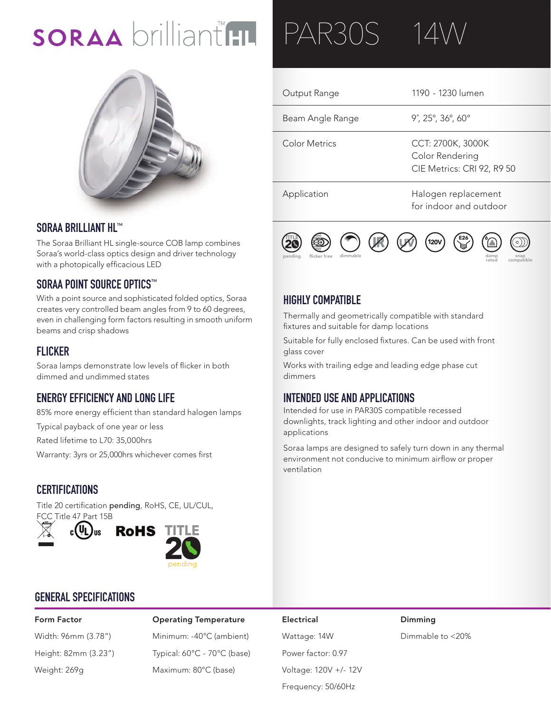# SORAA brilliant HL



#### **SORAA BRILLIANT HL™**

The Soraa Brilliant HL single-source COB lamp combines Soraa's world-class optics design and driver technology with a photopically efficacious LED

### **SORAA POINT SOURCE OPTICS™**

With a point source and sophisticated folded optics, Soraa creates very controlled beam angles from 9 to 60 degrees, **12V AC** even in challenging form factors resulting in smooth uniform beams and crisp shadows

#### **FLICKER**

Soraa lamps demonstrate low levels of flicker in both dimmed and undimmed states

### **ENERGY EFFICIENCY AND LONG LIFE**

85% more energy efficient than standard halogen lamps

Typical payback of one year or less

Rated lifetime to L70: 35,000hrs

Warranty: 3yrs or 25,000hrs whichever comes first

#### **CERTIFICATIONS**

Title 20 certification pending, RoHS, CE, UL/CUL, FCC Title 47 Part 15B



### **GENERAL SPECIFICATIONS**

Form Factor Operating Temperature Electrical Dimming Width: 96mm (3.78") Minimum: -40°C (ambient) Wattage: 14W Dimmable to <20% Height: 82mm (3.23") Typical: 60°C - 70°C (base) Power factor: 0.97 Weight: 269g Maximum: 80°C (base) Voltage: 120V +/- 12V

PAR30S 14W

#### Output Range Beam Angle Range Color Metrics Application 1190 - 1230 lumen 9˚, 25°, 36°, 60° CCT: 2700K, 3000K Color Rendering CIE Metrics: CRI 92, R9 50 Halogen replacement for indoor and outdoor



#### **HIGHLY COMPATIBLE**

Thermally and geometrically compatible with standard **12V** 20 fixtures and suitable for damp locations

Suitable for fully enclosed fixtures. Can be used with front glass cover

Works with trailing edge and leading edge phase cut dimmers

#### **INTENDED USE AND APPLICATIONS**

Intended for use in PAR30S compatible recessed downlights, track lighting and other indoor and outdoor applications

Soraa lamps are designed to safely turn down in any thermal environment not conducive to minimum airflow or proper ventilation

Frequency: 50/60Hz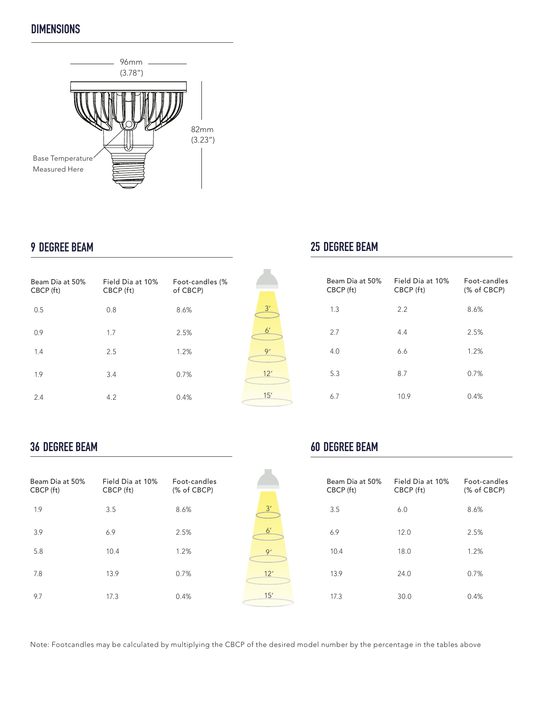### **DIMENSIONS**



#### **9 DEGREE BEAM**

| Beam Dia at 50%<br>CBCP (ft) | Field Dia at 10%<br>CBCP (ft) | Foot-candles (%<br>of CBCP) |
|------------------------------|-------------------------------|-----------------------------|
| 0.5                          | 0.8                           | 8.6%                        |
| 0.9                          | 1.7                           | 2.5%                        |
| 1.4                          | 2.5                           | 1.2%                        |
| 1.9                          | 3.4                           | 0.7%                        |
| 2.4                          | 4.2                           | 0.4%                        |

## $\frac{3'}{2}$ 6' 9' 12' 15'

### **25 DEGREE BEAM**

| Beam Dia at 50%<br>CBCP (ft) | Field Dia at 10%<br>CBCP (ft) | Foot-candles<br>(% of CBCP) |
|------------------------------|-------------------------------|-----------------------------|
| 1.3                          | 2.2                           | 8.6%                        |
| 2.7                          | 4.4                           | 2.5%                        |
| 4.0                          | 6.6                           | 1.2%                        |
| 5.3                          | 8.7                           | 0.7%                        |
| 6.7                          | 10.9                          | 0.4%                        |

#### **36 DEGREE BEAM**

| Beam Dia at 50%<br>CBCP (ft) | Field Dia at 10%<br>CBCP (ft) | Eoot-candles<br>(% of CBCP) |
|------------------------------|-------------------------------|-----------------------------|
| 1.9                          | 3.5                           | 8.6%                        |
| 3.9                          | 6.9                           | 2.5%                        |
| 5.8                          | 10.4                          | 1.2%                        |
| 7.8                          | 13.9                          | 0.7%                        |
| 9.7                          | 17.3                          | 0.4%                        |

| 3'             |  |
|----------------|--|
| 6 <sup>'</sup> |  |
| 9'             |  |
| 12'            |  |
| 15'            |  |

### **60 DEGREE BEAM**

| Beam Dia at 50%<br>CBCP (ft) | Field Dia at 10%<br>CBCP (ft) | Eoot-candles<br>(% of CBCP) |
|------------------------------|-------------------------------|-----------------------------|
| 3.5                          | 6.0                           | 8.6%                        |
| 6.9                          | 12.0                          | 2.5%                        |
| 10.4                         | 18.0                          | 1.2%                        |
| 13.9                         | 24.0                          | 0.7%                        |
| 17.3                         | 30.0                          | 0.4%                        |

Note: Footcandles may be calculated by multiplying the CBCP of the desired model number by the percentage in the tables above